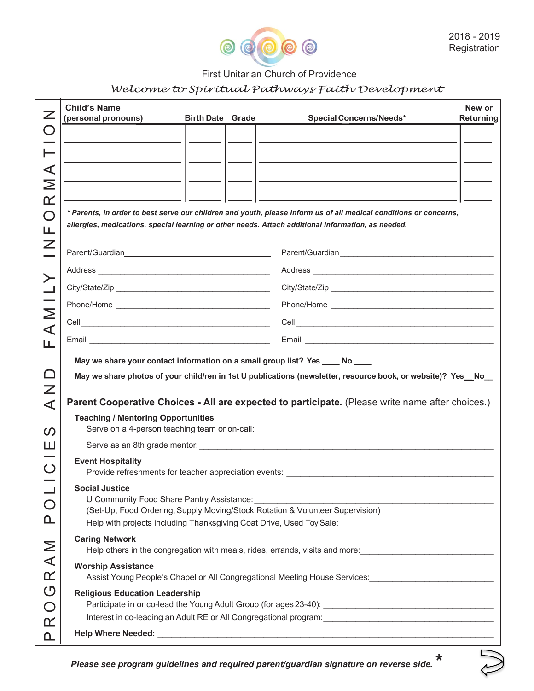

## First Unitarian Church of Providence

## *Welcome to Spiritual Pathways Faith Development*

| Z                           | <b>Child's Name</b><br>(personal pronouns)                                                                                                                                                                                                                                                | <b>Birth Date Grade</b> | <b>Special Concerns/Needs*</b>    | New or<br>Returning |
|-----------------------------|-------------------------------------------------------------------------------------------------------------------------------------------------------------------------------------------------------------------------------------------------------------------------------------------|-------------------------|-----------------------------------|---------------------|
| $\bigcirc$                  |                                                                                                                                                                                                                                                                                           |                         |                                   |                     |
| ⊢                           |                                                                                                                                                                                                                                                                                           |                         |                                   |                     |
| ⋖                           |                                                                                                                                                                                                                                                                                           |                         |                                   |                     |
| Σ                           |                                                                                                                                                                                                                                                                                           |                         |                                   |                     |
| $\propto$                   |                                                                                                                                                                                                                                                                                           |                         |                                   |                     |
| $\bigcirc$                  | * Parents, in order to best serve our children and youth, please inform us of all medical conditions or concerns,<br>allergies, medications, special learning or other needs. Attach additional information, as needed.                                                                   |                         |                                   |                     |
| Щ                           |                                                                                                                                                                                                                                                                                           |                         |                                   |                     |
| Z                           |                                                                                                                                                                                                                                                                                           |                         |                                   |                     |
|                             |                                                                                                                                                                                                                                                                                           |                         |                                   |                     |
|                             |                                                                                                                                                                                                                                                                                           |                         |                                   |                     |
| $\geq$                      |                                                                                                                                                                                                                                                                                           |                         |                                   |                     |
| $\prec$                     |                                                                                                                                                                                                                                                                                           |                         |                                   |                     |
| щ                           |                                                                                                                                                                                                                                                                                           |                         |                                   |                     |
|                             | May we share your contact information on a small group list? Yes ____ No ____                                                                                                                                                                                                             |                         |                                   |                     |
| $\Box$                      | May we share photos of your child/ren in 1st U publications (newsletter, resource book, or website)? Yes_No_                                                                                                                                                                              |                         |                                   |                     |
| $\overline{\angle}$         |                                                                                                                                                                                                                                                                                           |                         |                                   |                     |
| ⋖                           | Parent Cooperative Choices - All are expected to participate. (Please write name after choices.)<br><b>Teaching / Mentoring Opportunities</b>                                                                                                                                             |                         |                                   |                     |
| ၯ                           |                                                                                                                                                                                                                                                                                           |                         |                                   |                     |
| ш                           |                                                                                                                                                                                                                                                                                           |                         |                                   |                     |
| $\bigcirc$                  | <b>Event Hospitality</b><br>Provide refreshments for teacher appreciation events: ___________________________                                                                                                                                                                             |                         |                                   |                     |
|                             | <b>Social Justice</b>                                                                                                                                                                                                                                                                     |                         |                                   |                     |
| $\bigcirc$                  | (Set-Up, Food Ordering, Supply Moving/Stock Rotation & Volunteer Supervision)                                                                                                                                                                                                             |                         |                                   |                     |
| <u> Ղ</u>                   |                                                                                                                                                                                                                                                                                           |                         |                                   |                     |
| N<br>A<br>M                 | <b>Caring Network</b><br>Help others in the congregation with meals, rides, errands, visits and more: _______________________<br><b>Worship Assistance</b><br>Assist Young People's Chapel or All Congregational Meeting House Services:<br>1992<br><b>Religious Education Leadership</b> |                         |                                   |                     |
| $\alpha$                    |                                                                                                                                                                                                                                                                                           |                         |                                   |                     |
| $\mathcal{O}$<br>$\bigcirc$ |                                                                                                                                                                                                                                                                                           |                         |                                   |                     |
| $\alpha$                    | Interest in co-leading an Adult RE or All Congregational program: __________________________________                                                                                                                                                                                      |                         |                                   |                     |
| <u>ቢ</u>                    |                                                                                                                                                                                                                                                                                           |                         |                                   |                     |
|                             |                                                                                                                                                                                                                                                                                           |                         | and the state of the state of the |                     |